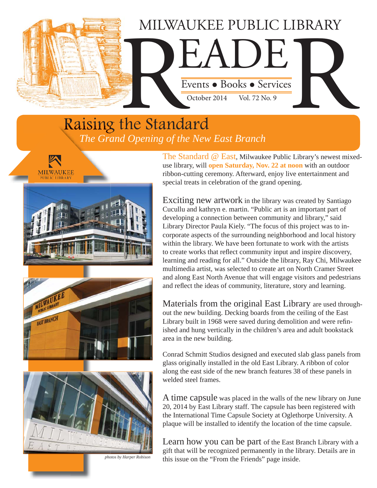

## Raising the Standard *The Grand Opening of the New East Branch*





*photos by Harper Robison*

The Standard @ East, Milwaukee Public Library's newest mixeduse library, will **open Saturday, Nov. 22 at noon** with an outdoor ribbon-cutting ceremony. Afterward, enjoy live entertainment and special treats in celebration of the grand opening.

Exciting new artwork in the library was created by Santiago Cucullu and kathryn e. martin. "Public art is an important part of developing a connection between community and library," said Library Director Paula Kiely. "The focus of this project was to incorporate aspects of the surrounding neighborhood and local history within the library. We have been fortunate to work with the artists to create works that reflect community input and inspire discovery, learning and reading for all." Outside the library, Ray Chi, Milwaukee multimedia artist, was selected to create art on North Cramer Street and along East North Avenue that will engage visitors and pedestrians and reflect the ideas of community, literature, story and learning.

Materials from the original East Library are used throughout the new building. Decking boards from the ceiling of the East Library built in 1968 were saved during demolition and were refinished and hung vertically in the children's area and adult bookstack area in the new building.

Conrad Schmitt Studios designed and executed slab glass panels from glass originally installed in the old East Library. A ribbon of color along the east side of the new branch features 38 of these panels in welded steel frames.

A time capsule was placed in the walls of the new library on June 20, 2014 by East Library staff. The capsule has been registered with the International Time Capsule Society at Oglethorpe University. A plaque will be installed to identify the location of the time capsule.

Learn how you can be part of the East Branch Library with a gift that will be recognized permanently in the library. Details are in this issue on the "From the Friends" page inside.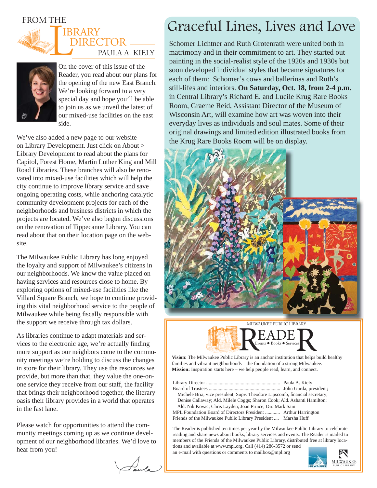### FROM THE





On the cover of this issue of the Reader, you read about our plans for the opening of the new East Branch. We're looking forward to a very special day and hope you'll be able to join us as we unveil the latest of our mixed-use facilities on the east side.

We've also added a new page to our website on Library Development. Just click on About > Library Development to read about the plans for Capitol, Forest Home, Martin Luther King and Mill Road Libraries. These branches will also be renovated into mixed-use facilities which will help the city continue to improve library service and save ongoing operating costs, while anchoring catalytic community development projects for each of the neighborhoods and business districts in which the projects are located. We've also begun discussions on the renovation of Tippecanoe Library. You can read about that on their location page on the website.

The Milwaukee Public Library has long enjoyed the loyalty and support of Milwaukee's citizens in our neighborhoods. We know the value placed on having services and resources close to home. By exploring options of mixed-use facilities like the Villard Square Branch, we hope to continue providing this vital neighborhood service to the people of Milwaukee while being fiscally responsible with the support we receive through tax dollars.

As libraries continue to adapt materials and services to the electronic age, we're actually finding more support as our neighbors come to the community meetings we're holding to discuss the changes in store for their library. They use the resources we provide, but more than that, they value the one-onone service they receive from our staff, the facility that brings their neighborhood together, the literary oasis their library provides in a world that operates in the fast lane.

Please watch for opportunities to attend the community meetings coming up as we continue development of our neighborhood libraries. We'd love to hear from you!

Jula )

# Graceful Lines, Lives and Love

Schomer Lichtner and Ruth Grotenrath were united both in matrimony and in their commitment to art. They started out painting in the social-realist style of the 1920s and 1930s but soon developed individual styles that became signatures for each of them: Schomer's cows and ballerinas and Ruth's still-lifes and interiors. **On Saturday, Oct. 18, from 2-4 p.m.** in Central Library's Richard E. and Lucile Krug Rare Books Room, Graeme Reid, Assistant Director of the Museum of Wisconsin Art, will examine how art was woven into their everyday lives as individuals and soul mates. Some of their original drawings and limited edition illustrated books from the Krug Rare Books Room will be on display.





**Vision:** The Milwaukee Public Library is an anchor institution that helps build healthy families and vibrant neighborhoods – the foundation of a strong Milwaukee. **Mission:** Inspiration starts here – we help people read, learn, and connect.

Library Director ............................................................ Paula A. Kiely Board of Trustees .......................................................... John Gurda, president; Michele Bria, vice president; Supv. Theodore Lipscomb, financial secretary; Denise Callaway; Ald. Milele Coggs; Sharon Cook; Ald. Ashanti Hamilton; Ald. Nik Kovac; Chris Layden; Joan Prince; Dir. Mark Sain MPL Foundation Board of Directors President ............ Arthur Harrington Friends of the Milwaukee Public Library President .... Marsha Huff

The Reader is published ten times per year by the Milwaukee Public Library to celebrate reading and share news about books, library services and events. The Reader is mailed to members of the Friends of the Milwaukee Public Library, distributed free at library locations and available at www.mpl.org. Call (414) 286-3572 or send

an e-mail with questions or comments to mailbox@mpl.org **MILWAUKEE**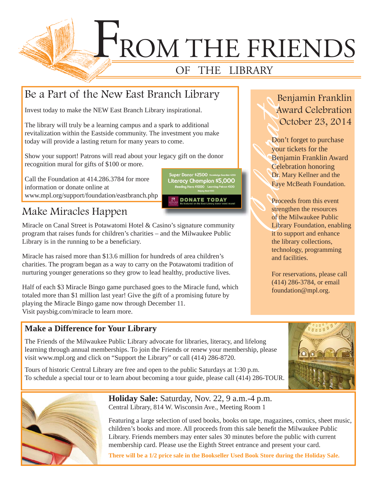

Super Donor \$2500

Literacy Champion \$5,000 ding Hero \$1000 Learning

**DONATE TODAY** 

## Be a Part of the New East Branch Library

Invest today to make the NEW East Branch Library inspirational.

The library will truly be a learning campus and a spark to additional revitalization within the Eastside community. The investment you make today will provide a lasting return for many years to come.

Show your support! Patrons will read about your legacy gift on the donor recognition mural for gifts of \$100 or more.

Call the Foundation at 414.286.3784 for more information or donate online at www.mpl.org/support/foundation/eastbranch.php

## Make Miracles Happen

Miracle on Canal Street is Potawatomi Hotel & Casino's signature community program that raises funds for children's charities – and the Milwaukee Public Library is in the running to be a beneficiary.

Miracle has raised more than \$13.6 million for hundreds of area children's charities. The program began as a way to carry on the Potawatomi tradition of nurturing younger generations so they grow to lead healthy, productive lives.

Half of each \$3 Miracle Bingo game purchased goes to the Miracle fund, which totaled more than \$1 million last year! Give the gift of a promising future by playing the Miracle Bingo game now through December 11. Visit paysbig.com/miracle to learn more.

# Award Celebration October 23, 2014

Benjamin Franklin<br>
Award Celebration<br>
October 23, 2014<br>
Don't forget to purchase<br>
your tickets for the<br>
Benjamin Franklin Award<br>
Celebration honoring<br>
Dr. Mary Kellner and the<br>
Faye McBeath Foundation.<br>
Proceeds from this Don't forget to purchase your tickets for the Benjamin Franklin Award Celebration honoring Dr. Mary Kellner and the Faye McBeath Foundation.

Proceeds from this event strengthen the resources of the Milwaukee Public Library Foundation, enabling it to support and enhance the library collections, technology, programming and facilities.

For reservations, please call (414) 286-3784, or email foundation@mpl.org.

### **Make a Difference for Your Library**

The Friends of the Milwaukee Public Library advocate for libraries, literacy, and lifelong learning through annual memberships. To join the Friends or renew your membership, please visit www.mpl.org and click on "Support the Library" or call (414) 286-8720.

Tours of historic Central Library are free and open to the public Saturdays at 1:30 p.m. To schedule a special tour or to learn about becoming a tour guide, please call (414) 286-TOUR.



**Holiday Sale:** Saturday, Nov. 22, 9 a.m.-4 p.m. Central Library, 814 W. Wisconsin Ave., Meeting Room 1

Featuring a large selection of used books, books on tape, magazines, comics, sheet music, children's books and more. All proceeds from this sale benefit the Milwaukee Public Library. Friends members may enter sales 30 minutes before the public with current membership card. Please use the Eighth Street entrance and present your card.

**There will be a 1/2 price sale in the Bookseller Used Book Store during the Holiday Sale.**

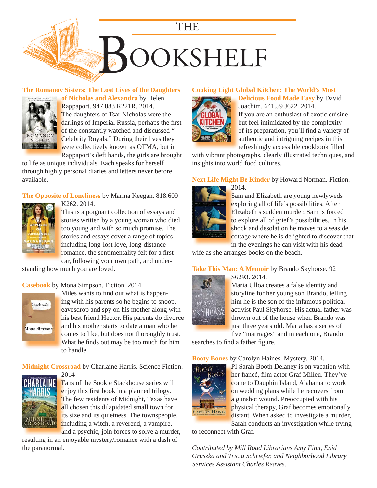

### **[The Romanov Sisters: The Lost Lives of the Daughters](https://encore.mcfls.org/iii/encore/record/C__Rb3746203)**



**of Nicholas and Alexandra** by Helen **o** Rappaport. 947.083 R221R. 2014. R The daughters of Tsar Nicholas were the darlings of Imperial Russia, perhaps the first of the constantly watched and discussed " Celebrity Royals." During their lives they C were collectively known as OTMA, but in Rappaport's deft hands, the girls are brought R

to life as unique individuals. Each speaks for herself through highly personal diaries and letters never before available.

**The Opposite of Loneliness** by Marina Keegan. 818.609 K262. 2014. K



This is a poignant collection of essays and T stories written by a young woman who died too young and with so much promise. The stories and essays cover a range of topics including long-lost love, long-distance i romance, the sentimentality felt for a first car, following your own path, and under-

standing how much you are loved.

### **Casebook** by Mona Simpson. Fiction. 2014.



Miles wants to find out what is happening with his parents so he begins to snoop, i eavesdrop and spy on his mother along with e [his best friend Hector. His parents do divorce](https://encore.mcfls.org/iii/encore/record/C__Rb3732025)  h and his mother starts to date a man who he comes to like, but does not thoroughly trust. What he finds out may be too much for him to handle. t

**Midnight Crossroad** by Charlaine Harris. Science Fiction.



2014 2 Fans of the Sookie Stackhouse series will F enjoy this first book in a planned trilogy. The few residents of Midnight, Texas have all chosen this dilapidated small town for its size and its quietness. The townspeople, including a witch, a reverend, a vampire,

and a psychic, join forces to solve a murder, [resulting in an enjoyable mystery/romance with a dash of](https://encore.mcfls.org/iii/encore/record/C__Rb3712210)  the paranormal.

### **Cooking Light Global Kitchen: The World's Most**



**Delicious Food Made Easy** by David **D** Joachim. 641.59 J622. 2014. J If you are an enthusiast of exotic cuisine I but feel intimidated by the complexity b of its preparation, you'll find a variety of authentic and intriguing recipes in this a refreshingly accessible cookbook filled

[with vibrant photographs, clearly illustrated techniques, and](https://encore.mcfls.org/iii/encore/record/C__Rb3732396)  insights into world food cultures.

### **Next Life Might Be Kinder** by Howard Norman. Fiction.



Sam and Elizabeth are young newlyweds exploring all of life's possibilities. After Elizabeth's sudden murder, Sam is forced E to explore all of grief's possibilities. In his shock and desolation he moves to a seaside cottage where he is delighted to discover that in the evenings he can visit with his dead

wife as she arranges books on the beach.

### **Take This Man: A Memoir** by Brando Skyhorse. 92



S6293. 2014. S Maria Ulloa creates a false identity and M storyline for her young son Brando, telling him he is the son of the infamous political h activist Paul Skyhorse. His actual father was thrown out of the house when Brando was just three years old. Maria has a series of five "marriages" and in each one, Brando

searches to find a father figure.

**Booty Bones** by Carolyn Haines. Mystery. 2014.



PI Sarah Booth Delaney is on vacation with her fiancé, film actor Graf Milieu. They've come to Dauphin Island, Alabama to work on wedding plans while he recovers from a gunshot wound. Preoccupied with his physical therapy, Graf becomes emotionally distant. When asked to investigate a murder, [Sarah conducts an investigation while trying](https://encore.mcfls.org/iii/encore/record/C__Rb3740211)  S

to reconnect with Graf.

*Contributed by Mill Road Librarians Amy Finn, Enid Gruszka and Tricia Schriefer, and Neighborhood Library Services Assistant Charles Reaves.*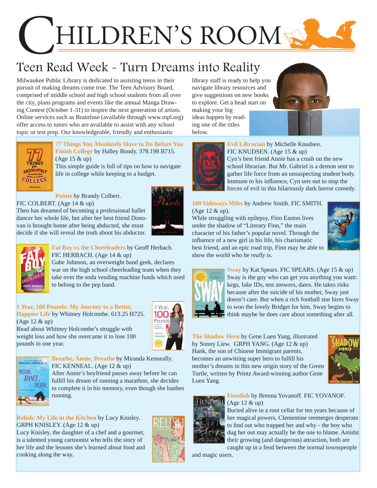# HILDREN'S ROOM

# Teen Read Week - Turn Dreams into Reality

Milwaukee Public Library is dedicated to assisting teens in their pursuit of making dreams come true. The Teen Advisory Board, comprised of middle school and high school students from all over the city, plans programs and events like the annual Manga Drawing Contest (October 1-31) to inspire the next generation of artists. Online services such as Brainfuse (available through www.mpl.org) offer access to tutors who are available to assist with any school topic or test prep. Our knowledgeable, friendly and enthusiastic

**ABSOLUTE** 

### **[77 Things You Absolutely Have to Do Before You](https://encore.mcfls.org/iii/encore/record/C__Rb3734326)  Finish College** by Halley Bondy. 378.198 B715. (Age 15 & up)

This simple guide is full of tips on how to navigate life in college while keeping to a budget.

### **Pointe** by Brandy Colbert.

FIC COLBERT. (Age 14 & up)

Theo has dreamed of becoming a professional ballet dancer her whole life, but after her best friend Donovan is brought home after being abducted, she must [decide if she will reveal the truth about his abductor.](https://encore.mcfls.org/iii/encore/record/C__Rb3738484) 





#### **Fat Boy vs the Cheerleaders** by Geoff Herbach. FIC HERBACH. (Age 14 & up)

Gabe Johnson, an overweight band geek, declares war on the high school cheerleading team when they [take over the soda vending machine funds which used](https://encore.mcfls.org/iii/encore/record/C__Rb3740890)  to belong to the pep band.

### **1 Year, 100 Pounds: My Journey to a Better, Happier Life** by Whitney Holcombe. 613.25 H725. (Age 12 & up)

Read about Whitney Holcombe's struggle with [weight loss and how she overcame it to lose 100](https://encore.mcfls.org/iii/encore/record/C__Rb3712223) 





pounds in one year.

**Breathe, Annie, Breathe** by Miranda Kenneally. FIC KENNEAL. (Age 12 & up)

After Annie's boyfriend passes away before he can fulfill his dream of running a marathon, she decides [to complete it in his memory, even though she loathes](https://encore.mcfls.org/iii/encore/record/C__Rb3757100)  running.

### **Relish: My Life in the Kitchen** by Lucy Knisley. GRPH KNISLEY. (Age 12 & up)

Lucy Knisley, the daughter of a chef and a gourmet, is a talented young cartoonist who tells the story of [her life and the lessons she's learned about food and](https://encore.mcfls.org/iii/encore/record/C__Rb3658374)  cooking along the way.



library staff is ready to help you navigate library resources and give suggestions on new books to explore. Get a head start on making your big

ideas happen by reading one of the titles below.





**Evil Librarian** by Michelle Knudsen. FIC KNUDSEN. (Age 15 & up) Cyn's best friend Annie has a crush on the new school librarian. But Mr. Gabriel is a demon sent to [gather life force from an unsuspecting student body.](https://encore.mcfls.org/iii/encore/record/C__Rb3766346)  Immune to his influence, Cyn sets out to stop the forces of evil in this hilariously dark horror comedy.

### **100 Sideways Miles** by Andrew Smith. FIC SMITH. (Age 12 & up).

While struggling with epilepsy, Finn Easton lives under the shadow of "Literary Finn," the main character of his father's popular novel. Through the influence of a new girl in his life, his charismatic [best friend, and an epic road trip, Finn may be able to](https://encore.mcfls.org/iii/encore/record/C__Rb3771552)  show the world who he *really* is.





**Sway** by Kat Spears. FIC SPEARS. (Age 15 & up) [Sway is the guy who can get you anything you want:](https://encore.mcfls.org/iii/encore/record/C__Rb3770190)  kegs, fake IDs, test answers, dates. He takes risks because after the suicide of his mother, Sway just doesn't care. But when a rich football star hires Sway to woo the lovely Bridget for him, Sway begins to think maybe he does care about something after all.

### **The Shadow Hero** by Gene Luen Yang, illustrated by Sonny Liew. GRPH YANG. (Age 12 & up) Hank, the son of Chinese Immigrant parents, becomes an unwitting super hero to fulfill his [mother's dreams in this new origin story of the Green](https://encore.mcfls.org/iii/encore/record/C__Rb3750978)  Turtle, written by Printz Award-winning author Gene Luen Yang.



### **Fiendish** by Brenna Yovanoff. FIC YOVANOF.



Buried alive in a root cellar for ten years because of [her magical powers, Clementine reemerges desperate](https://encore.mcfls.org/iii/encore/record/C__Rb3762341)  to find out who trapped her and why - the boy who dug her out may actually be the one to blame. Amidst their growing (and dangerous) attraction, both are caught up in a feud between the normal townspeople

and magic users.

(Age 12 & up)